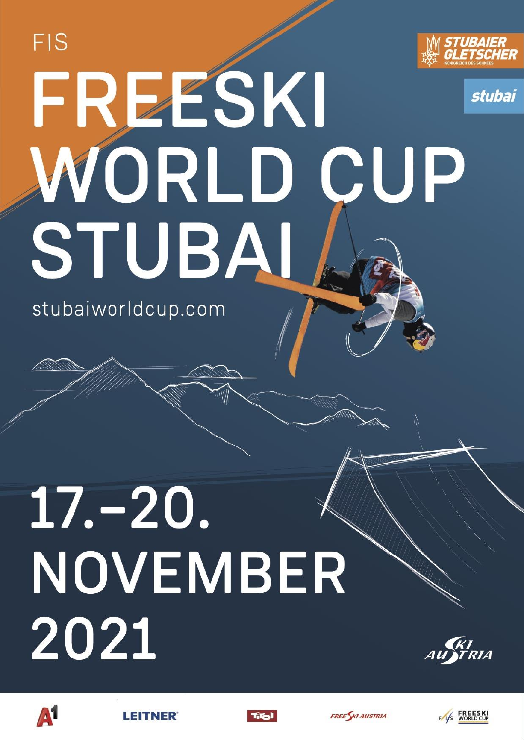## **FIS STUBAIER<br>GLETSCHER** FREESKI stubai WORLD CUP STUBAI

stubaiworldcup.com

# $17.-20.$ NOVEMBER 2021







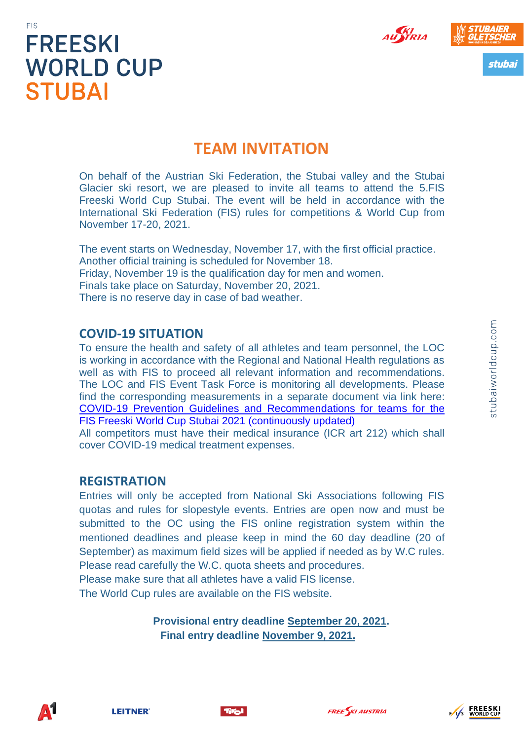



#### **TEAM INVITATION**

On behalf of the Austrian Ski Federation, the Stubai valley and the Stubai Glacier ski resort, we are pleased to invite all teams to attend the 5.FIS Freeski World Cup Stubai. The event will be held in accordance with the International Ski Federation (FIS) rules for competitions & World Cup from November 17-20, 2021.

The event starts on Wednesday, November 17, with the first official practice. Another official training is scheduled for November 18. Friday, November 19 is the qualification day for men and women. Finals take place on Saturday, November 20, 2021. There is no reserve day in case of bad weather.

#### **COVID-19 SITUATION**

To ensure the health and safety of all athletes and team personnel, the LOC is working in accordance with the Regional and National Health regulations as well as with FIS to proceed all relevant information and recommendations. The LOC and FIS Event Task Force is monitoring all developments. Please find the corresponding measurements in a separate document via link here: [COVID-19 Prevention Guidelines and Recommendations for teams for the](https://medias3.fis-ski.com/pdf/2022/FS/8101/2022FS8101C19P.pdf)  [FIS Freeski World Cup Stubai 2021 \(continuously updated\)](https://medias3.fis-ski.com/pdf/2022/FS/8101/2022FS8101C19P.pdf)

All competitors must have their medical insurance (ICR art 212) which shall cover COVID-19 medical treatment expenses.

#### **REGISTRATION**

Entries will only be accepted from National Ski Associations following FIS quotas and rules for slopestyle events. Entries are open now and must be submitted to the OC using the FIS online registration system within the mentioned deadlines and please keep in mind the 60 day deadline (20 of September) as maximum field sizes will be applied if needed as by W.C rules. Please read carefully the W.C. quota sheets and procedures. Please make sure that all athletes have a valid FIS license.

Tiral

The World Cup rules are available on the FIS website.

**Provisional entry deadline September 20, 2021. Final entry deadline November 9, 2021.**

**EXACTERBESKI**<br>EXACTER WORLD CUP





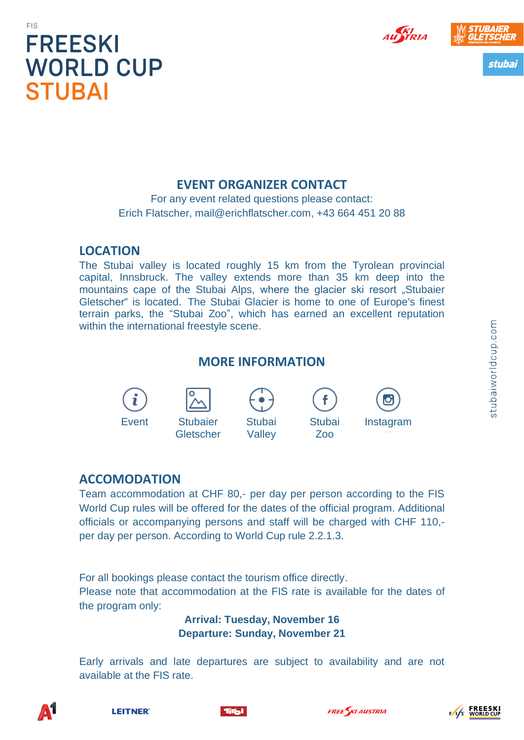



#### **EVENT ORGANIZER CONTACT**

For any event related questions please contact: Erich Flatscher, mail@erichflatscher.com, +43 664 451 20 88

#### **LOCATION**

The Stubai valley is located roughly 15 km from the Tyrolean provincial capital, Innsbruck. The valley extends more than 35 km deep into the mountains cape of the Stubai Alps, where the glacier ski resort "Stubaier Gletscher" is located. The Stubai Glacier is home to one of Europe's finest terrain parks, the "Stubai Zoo", which has earned an excellent reputation within the international freestyle scene.

#### **MORE INFORMATION**



#### **ACCOMODATION**

Team accommodation at CHF 80,- per day per person according to the FIS World Cup rules will be offered for the dates of the official program. Additional officials or accompanying persons and staff will be charged with CHF 110, per day per person. According to World Cup rule 2.2.1.3.

For all bookings please contact the tourism office directly. Please note that accommodation at the FIS rate is available for the dates of the program only:

> **Arrival: Tuesday, November 16 Departure: Sunday, November 21**

Early arrivals and late departures are subject to availability and are not available at the FIS rate.









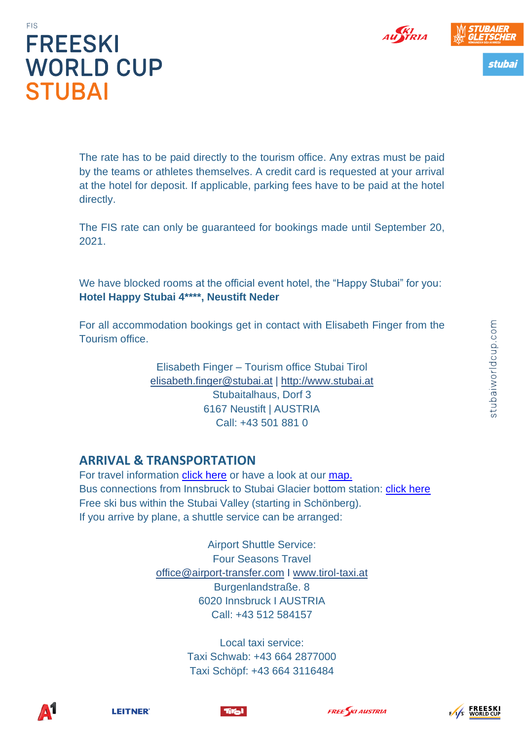



The rate has to be paid directly to the tourism office. Any extras must be paid by the teams or athletes themselves. A credit card is requested at your arrival at the hotel for deposit. If applicable, parking fees have to be paid at the hotel directly.

The FIS rate can only be guaranteed for bookings made until September 20, 2021.

We have blocked rooms at the official event hotel, the "Happy Stubai" for you: **Hotel Happy Stubai 4\*\*\*\*, Neustift Neder**

For all accommodation bookings get in contact with Elisabeth Finger from the Tourism office.

> Elisabeth Finger – Tourism office Stubai Tirol [elisabeth.finger@stubai.at](mailto:elisabeth.finger@stubai.at?subject=SFWC%2017%20-%20Accomodation) | [http://www.stubai.at](http://www.stubai.at/) Stubaitalhaus, Dorf 3 6167 Neustift | AUSTRIA Call: +43 501 881 0

#### **ARRIVAL & TRANSPORTATION**

For travel information [click here](https://www.stubaier-gletscher.com/skigebiet/anfahrtlageparken/) or have a look at our [map.](https://drive.google.com/open?id=1Sw-PO8ryEONRfx25e1GM7QJICKA&usp=sharing) Bus connections from Innsbruck to Stubai Glacier bottom station: [click here](https://www.stubaier-gletscher.com/fileadmin/userdaten/stubaier-gletscher/dokumente/Downloads_DE/fahrplan-winterbus-17-18.pdf) Free ski bus within the Stubai Valley (starting in Schönberg). If you arrive by plane, a shuttle service can be arranged:

> Airport Shuttle Service: Four Seasons Travel [office@airport-transfer.com](mailto:office@airport-transfer.com) I [www.tirol-taxi.at](http://www.tirol-taxi.at/) Burgenlandstraße. 8 6020 Innsbruck I AUSTRIA Call: +43 512 584157

> > Local taxi service: Taxi Schwab: +43 664 2877000 Taxi Schöpf: +43 664 3116484







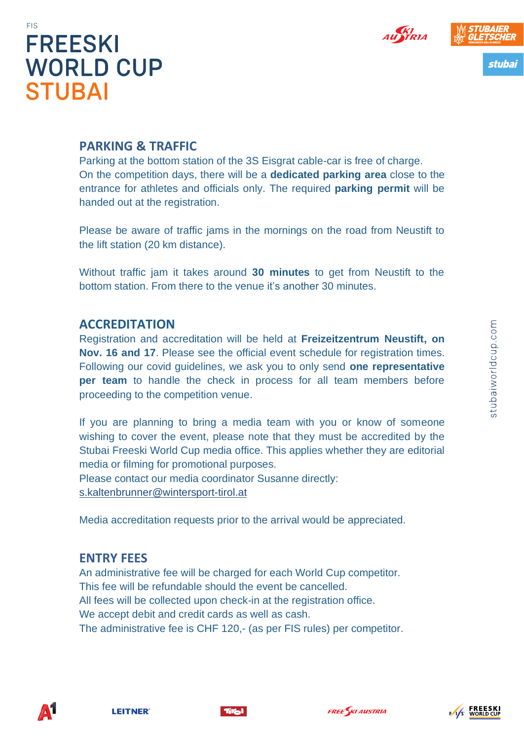



stubaiworldcup.com

#### **PARKING & TRAFFIC**

Parking at the bottom station of the 3S Eisgrat cable-car is free of charge. On the competition days, there will be a **dedicated parking area** close to the entrance for athletes and officials only. The required **parking permit** will be handed out at the registration.

Please be aware of traffic jams in the mornings on the road from Neustift to the lift station (20 km distance).

Without traffic jam it takes around **30 minutes** to get from Neustift to the bottom station. From there to the venue it's another 30 minutes.

#### **ACCREDITATION**

Registration and accreditation will be held at **Freizeitzentrum Neustift, on Nov. 16 and 17**. Please see the official event schedule for registration times. Following our covid guidelines, we ask you to only send **one representative per team** to handle the check in process for all team members before proceeding to the competition venue.

If you are planning to bring a media team with you or know of someone wishing to cover the event, please note that they must be accredited by the Stubai Freeski World Cup media office. This applies whether they are editorial media or filming for promotional purposes.

Please contact our media coordinator Susanne directly: [s.kaltenbrunner@wintersport-tirol.at](mailto:s.kaltenbrunner@wintersport-tirol.at?subject=SFWC20%20-%20Media%20enquiry)

Media accreditation requests prior to the arrival would be appreciated.

#### **ENTRY FEES**

An administrative fee will be charged for each World Cup competitor. This fee will be refundable should the event be cancelled. All fees will be collected upon check-in at the registration office. We accept debit and credit cards as well as cash.

The administrative fee is CHF 120,- (as per FIS rules) per competitor.

## FIS **FREESKI WORLD CUP STUBAI**

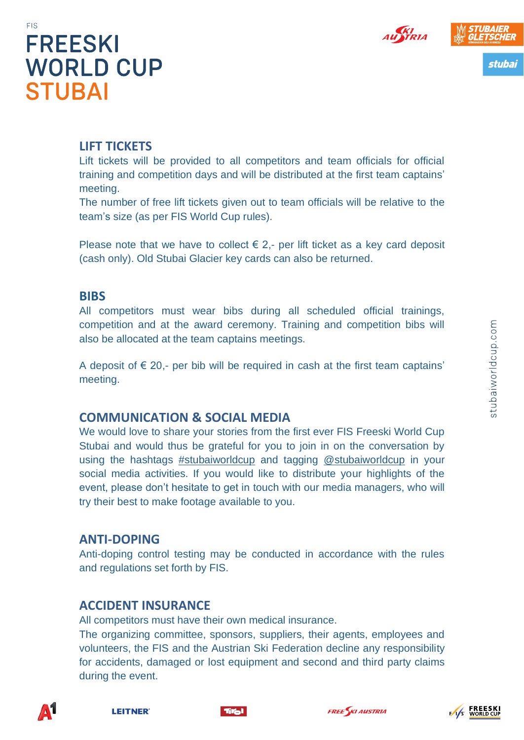



#### **LIFT TICKETS**

Lift tickets will be provided to all competitors and team officials for official training and competition days and will be distributed at the first team captains' meeting.

The number of free lift tickets given out to team officials will be relative to the team's size (as per FIS World Cup rules).

Please note that we have to collect  $\epsilon$  2,- per lift ticket as a key card deposit (cash only). Old Stubai Glacier key cards can also be returned.

#### **BIBS**

All competitors must wear bibs during all scheduled official trainings, competition and at the award ceremony. Training and competition bibs will also be allocated at the team captains meetings.

A deposit of  $\epsilon$  20,- per bib will be required in cash at the first team captains' meeting.

#### **COMMUNICATION & SOCIAL MEDIA**

We would love to share your stories from the first ever FIS Freeski World Cup Stubai and would thus be grateful for you to join in on the conversation by using the hashtags #stubaiworldcup and tagging @stubaiworldcup in your social media activities. If you would like to distribute your highlights of the event, please don't hesitate to get in touch with our media managers, who will try their best to make footage available to you.

#### **ANTI-DOPING**

Anti-doping control testing may be conducted in accordance with the rules and regulations set forth by FIS.

#### **ACCIDENT INSURANCE**

All competitors must have their own medical insurance.

The organizing committee, sponsors, suppliers, their agents, employees and volunteers, the FIS and the Austrian Ski Federation decline any responsibility for accidents, damaged or lost equipment and second and third party claims during the event.







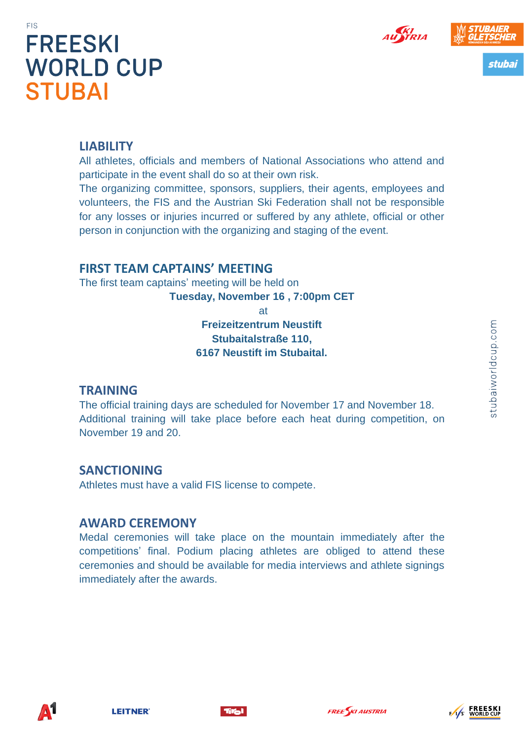



#### **LIABILITY**

All athletes, officials and members of National Associations who attend and participate in the event shall do so at their own risk.

The organizing committee, sponsors, suppliers, their agents, employees and volunteers, the FIS and the Austrian Ski Federation shall not be responsible for any losses or injuries incurred or suffered by any athlete, official or other person in conjunction with the organizing and staging of the event.

#### **FIRST TEAM CAPTAINS' MEETING**

The first team captains' meeting will be held on

**Tuesday, November 16 , 7:00pm CET**

at

**Freizeitzentrum Neustift Stubaitalstraße 110, 6167 Neustift im Stubaital.**

#### **TRAINING**

The official training days are scheduled for November 17 and November 18. Additional training will take place before each heat during competition, on November 19 and 20.

#### **SANCTIONING**

Athletes must have a valid FIS license to compete.

#### **AWARD CEREMONY**

Medal ceremonies will take place on the mountain immediately after the competitions' final. Podium placing athletes are obliged to attend these ceremonies and should be available for media interviews and athlete signings immediately after the awards.



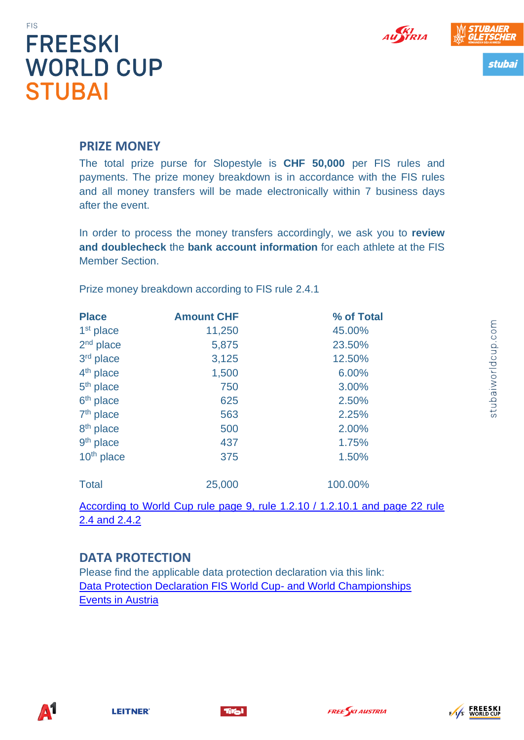





**FIS** 

#### **PRIZE MONEY**

The total prize purse for Slopestyle is **CHF 50,000** per FIS rules and payments. The prize money breakdown is in accordance with the FIS rules and all money transfers will be made electronically within 7 business days after the event.

In order to process the money transfers accordingly, we ask you to **review and doublecheck** the **bank account information** for each athlete at the FIS Member Section.

Prize money breakdown according to FIS rule 2.4.1

| <b>Place</b>           | <b>Amount CHF</b> | % of Total |
|------------------------|-------------------|------------|
| 1 <sup>st</sup> place  | 11,250            | 45.00%     |
| $2nd$ place            | 5,875             | 23.50%     |
| 3rd place              | 3,125             | 12.50%     |
| 4 <sup>th</sup> place  | 1,500             | 6.00%      |
| 5 <sup>th</sup> place  | 750               | 3.00%      |
| 6 <sup>th</sup> place  | 625               | 2.50%      |
| $7th$ place            | 563               | 2.25%      |
| 8 <sup>th</sup> place  | 500               | 2.00%      |
| 9 <sup>th</sup> place  | 437               | 1.75%      |
| 10 <sup>th</sup> place | 375               | 1.50%      |
| <b>Total</b>           | 25,000            | 100.00%    |

[According to World Cup rule page 9, rule 1.2.10 / 1.2.10.1 and page 22 rule](https://assets.fis-ski.com/image/upload/v1591792318/fis-prod/assets/document-library/fs-sb-fk-documents/WC_RULES_FS_SB_FK_2020_21.pdf)  [2.4 and 2.4.2](https://assets.fis-ski.com/image/upload/v1591792318/fis-prod/assets/document-library/fs-sb-fk-documents/WC_RULES_FS_SB_FK_2020_21.pdf)

#### **DATA PROTECTION**

Please find the applicable data protection declaration via this link: [Data Protection Declaration FIS World Cup-](https://www.oesv.at/datenschutz) and World Championships [Events in Austria](https://www.oesv.at/datenschutz)



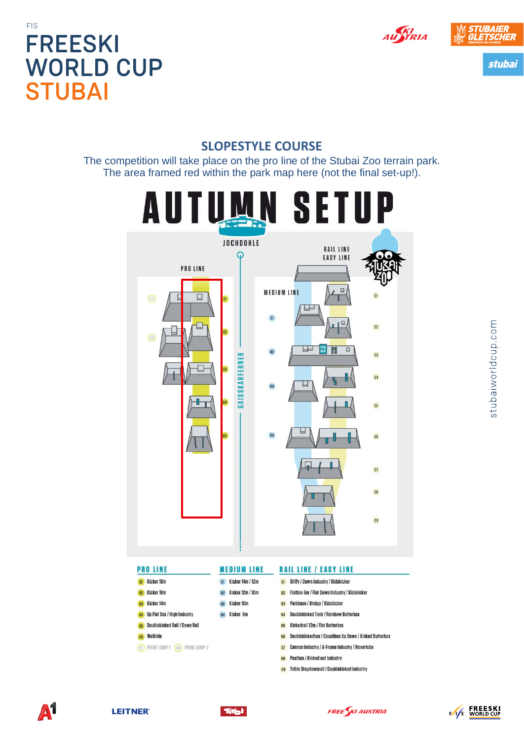



stubai

## FIS **FREESKI WORLD CUP STUBAI**

#### **SLOPESTYLE COURSE**

The competition will take place on the pro line of the Stubai Zoo terrain park. The area framed red within the park map here (not the final set-up!).







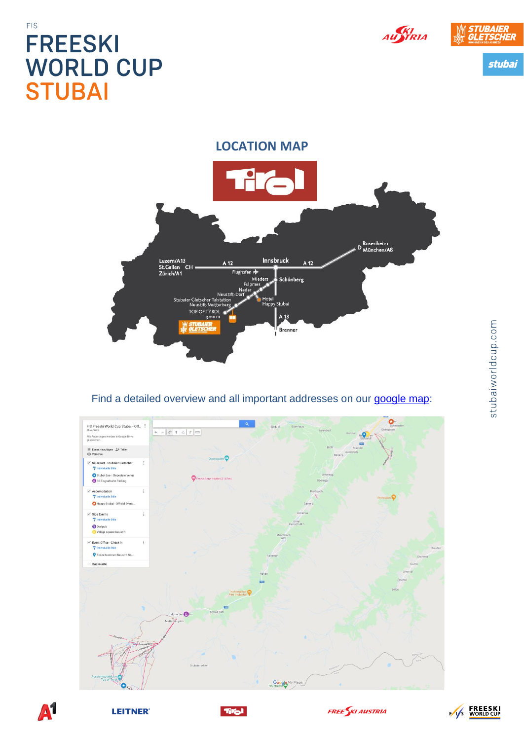



**LOCATION MAP**



#### Find a detailed overview and all important addresses on our [google map:](http://bit.ly/2weQ2if)











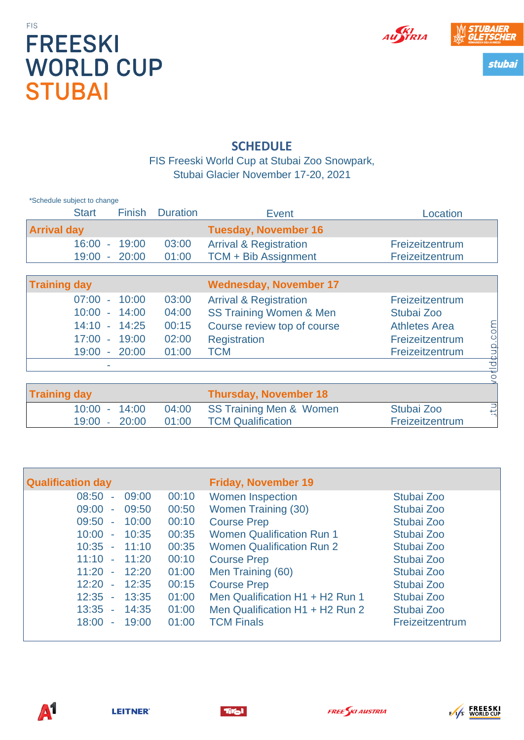



#### **SCHEDULE**

FIS Freeski World Cup at Stubai Zoo Snowpark, Stubai Glacier November 17-20, 2021

| *Schedule subject to change |               |                 |                                    |                      |
|-----------------------------|---------------|-----------------|------------------------------------|----------------------|
| <b>Start</b>                | <b>Finish</b> | <b>Duration</b> | <b>Event</b>                       | Location             |
| <b>Arrival day</b>          |               |                 | <b>Tuesday, November 16</b>        |                      |
| 16:00<br>$\sim$             | 19:00         | 03:00           | <b>Arrival &amp; Registration</b>  | Freizeitzentrum      |
| 19:00<br>$\sim$             | 20:00         | 01:00           | <b>TCM + Bib Assignment</b>        | Freizeitzentrum      |
|                             |               |                 |                                    |                      |
| <b>Training day</b>         |               |                 | <b>Wednesday, November 17</b>      |                      |
| 07:00<br>$\sim$             | 10:00         | 03:00           | <b>Arrival &amp; Registration</b>  | Freizeitzentrum      |
| $10:00 - 14:00$             |               | 04:00           | <b>SS Training Women &amp; Men</b> | Stubai Zoo           |
| $14:10 -$                   | 14:25         | 00:15           | Course review top of course        | <b>Athletes Area</b> |
| 17:00 - 19:00               |               | 02:00           | <b>Registration</b>                | Freizeitzentrum      |
| 19:00<br>$\sim$             | 20:00         | 01:00           | <b>TCM</b>                         | Freizeitzentrum      |
|                             |               |                 |                                    | vorldtup.com         |
|                             |               |                 |                                    |                      |
| <b>Training day</b>         |               |                 | <b>Thursday, November 18</b>       |                      |
| 10:00                       | 14:00         | 04:00           | SS Training Men & Women            | stu<br>Stubai Zoo    |
| 19:00                       | 20:00         | 01:00           | <b>TCM Qualification</b>           | Freizeitzentrum      |

| <b>Qualification day</b>                   |       | <b>Friday, November 19</b>       |                 |
|--------------------------------------------|-------|----------------------------------|-----------------|
| 08:50<br>09:00<br>$\overline{\phantom{a}}$ | 00:10 | <b>Women Inspection</b>          | Stubai Zoo      |
| 09:00<br>09:50<br>$\sim$                   | 00:50 | Women Training (30)              | Stubai Zoo      |
| 09:50<br>10:00<br>$\sim$                   | 00:10 | <b>Course Prep</b>               | Stubai Zoo      |
| $10:00 -$<br>10:35                         | 00:35 | <b>Women Qualification Run 1</b> | Stubai Zoo      |
| $10:35 - 11:10$                            | 00:35 | <b>Women Qualification Run 2</b> | Stubai Zoo      |
| $11:10 - 11:20$                            | 00:10 | <b>Course Prep</b>               | Stubai Zoo      |
| $11:20 -$<br>12:20                         | 01:00 | Men Training (60)                | Stubai Zoo      |
| 12:35<br>12:20<br>$\sim$                   | 00:15 | <b>Course Prep</b>               | Stubai Zoo      |
| $12:35 -$<br>13:35                         | 01:00 | Men Qualification H1 + H2 Run 1  | Stubai Zoo      |
| $13:35 -$<br>14:35                         | 01:00 | Men Qualification H1 + H2 Run 2  | Stubai Zoo      |
| 19:00<br>18:00<br>$\sim$                   | 01:00 | <b>TCM Finals</b>                | Freizeitzentrum |





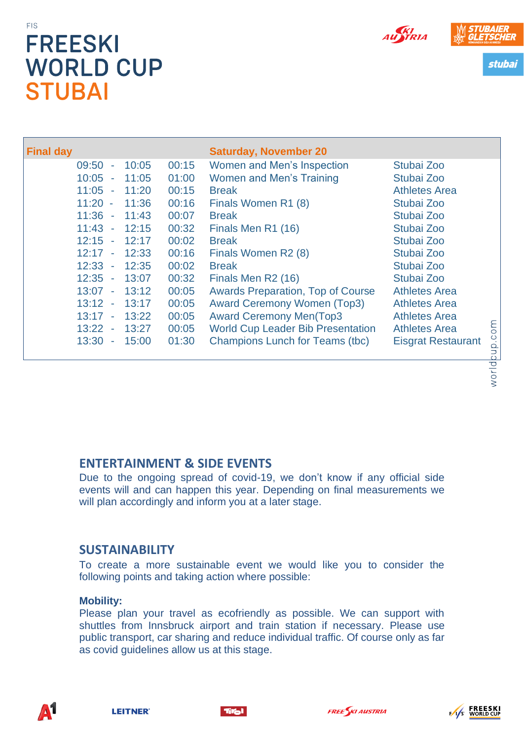



| <b>Final day</b>                  | <b>Saturday, November 20</b>                                                 |
|-----------------------------------|------------------------------------------------------------------------------|
| 10:05<br>00:15<br>09:50<br>٠      | Women and Men's Inspection<br>Stubai Zoo                                     |
| 01:00<br>$10:05 -$<br>11:05       | Women and Men's Training<br>Stubai Zoo                                       |
| $11:05 -$<br>00:15<br>11:20       | <b>Athletes Area</b><br><b>Break</b>                                         |
| $11:20 -$<br>00:16<br>11:36       | Finals Women R1 (8)<br>Stubai Zoo                                            |
| $11:36 -$<br>11:43<br>00:07       | Stubai Zoo<br><b>Break</b>                                                   |
| $11:43 -$<br>12:15<br>00:32       | Stubai Zoo<br>Finals Men R1 (16)                                             |
| $12:15 -$<br>00:02<br>12:17       | <b>Break</b><br>Stubai Zoo                                                   |
| 00:16<br>$12:17 -$<br>12:33       | Stubai Zoo<br>Finals Women R2 (8)                                            |
| $12:33 -$<br>12:35<br>00:02       | Stubai Zoo<br><b>Break</b>                                                   |
| $12:35 -$<br>13:07<br>00:32       | Finals Men R2 (16)<br>Stubai Zoo                                             |
| $13:07 -$<br>13:12<br>00:05       | <b>Awards Preparation, Top of Course</b><br><b>Athletes Area</b>             |
| $13:12 -$<br>13:17<br>00:05       | <b>Award Ceremony Women (Top3)</b><br><b>Athletes Area</b>                   |
| 00:05<br>$13:17 -$<br>13:22       | <b>Award Ceremony Men(Top3</b><br><b>Athletes Area</b>                       |
| $13:22 -$<br>13:27<br>00:05       | <b>World Cup Leader Bib Presentation</b><br><b>Athletes Area</b>             |
| 01:30<br>15:00<br>13:30<br>$\sim$ | p.com<br><b>Champions Lunch for Teams (tbc)</b><br><b>Eisgrat Restaurant</b> |

worldbu

#### **ENTERTAINMENT & SIDE EVENTS**

Due to the ongoing spread of covid-19, we don't know if any official side events will and can happen this year. Depending on final measurements we will plan accordingly and inform you at a later stage.

#### **SUSTAINABILITY**

To create a more sustainable event we would like you to consider the following points and taking action where possible:

#### **Mobility:**

Please plan your travel as ecofriendly as possible. We can support with shuttles from Innsbruck airport and train station if necessary. Please use public transport, car sharing and reduce individual traffic. Of course only as far as covid guidelines allow us at this stage.